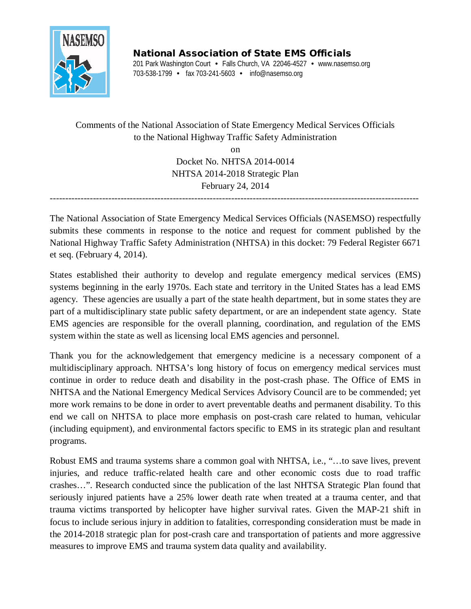

National Association of State EMS Officials 201 Park Washington Court • Falls Church, VA 22046-4527 • www.nasemso.org 703-538-1799 • fax 703-241-5603 • info@nasemso.org

Comments of the National Association of State Emergency Medical Services Officials to the National Highway Traffic Safety Administration

> on Docket No. NHTSA 2014-0014 NHTSA 2014-2018 Strategic Plan February 24, 2014

------------------------------------------------------------------------------------------------------------------------

The National Association of State Emergency Medical Services Officials (NASEMSO) respectfully submits these comments in response to the notice and request for comment published by the National Highway Traffic Safety Administration (NHTSA) in this docket: 79 Federal Register 6671 et seq. (February 4, 2014).

States established their authority to develop and regulate emergency medical services (EMS) systems beginning in the early 1970s. Each state and territory in the United States has a lead EMS agency. These agencies are usually a part of the state health department, but in some states they are part of a multidisciplinary state public safety department, or are an independent state agency. State EMS agencies are responsible for the overall planning, coordination, and regulation of the EMS system within the state as well as licensing local EMS agencies and personnel.

Thank you for the acknowledgement that emergency medicine is a necessary component of a multidisciplinary approach. NHTSA's long history of focus on emergency medical services must continue in order to reduce death and disability in the post-crash phase. The Office of EMS in NHTSA and the National Emergency Medical Services Advisory Council are to be commended; yet more work remains to be done in order to avert preventable deaths and permanent disability. To this end we call on NHTSA to place more emphasis on post-crash care related to human, vehicular (including equipment), and environmental factors specific to EMS in its strategic plan and resultant programs.

Robust EMS and trauma systems share a common goal with NHTSA, i.e., "…to save lives, prevent injuries, and reduce traffic-related health care and other economic costs due to road traffic crashes…". Research conducted since the publication of the last NHTSA Strategic Plan found that seriously injured patients have a 25% lower death rate when treated at a trauma center, and that trauma victims transported by helicopter have higher survival rates. Given the MAP-21 shift in focus to include serious injury in addition to fatalities, corresponding consideration must be made in the 2014-2018 strategic plan for post-crash care and transportation of patients and more aggressive measures to improve EMS and trauma system data quality and availability.